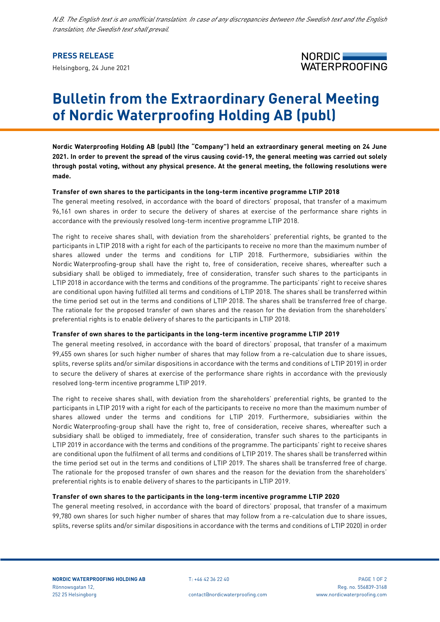*N.B. The English text is an unofficial translation. In case of any discrepancies between the Swedish text and the English translation, the Swedish text shall prevail.*

# **PRESS RELEASE**

Helsingborg, 24 June 2021



# **Bulletin from the Extraordinary General Meeting of Nordic Waterproofing Holding AB (publ)**

**Nordic Waterproofing Holding AB (publ) (the "Company") held an extraordinary general meeting on 24 June 2021. In order to prevent the spread of the virus causing covid-19, the general meeting was carried out solely through postal voting, without any physical presence. At the general meeting, the following resolutions were made.**

## **Transfer of own shares to the participants in the long-term incentive programme LTIP 2018**

The general meeting resolved, in accordance with the board of directors' proposal, that transfer of a maximum 96,161 own shares in order to secure the delivery of shares at exercise of the performance share rights in accordance with the previously resolved long-term incentive programme LTIP 2018.

The right to receive shares shall, with deviation from the shareholders' preferential rights, be granted to the participants in LTIP 2018 with a right for each of the participants to receive no more than the maximum number of shares allowed under the terms and conditions for LTIP 2018. Furthermore, subsidiaries within the Nordic Waterproofing-group shall have the right to, free of consideration, receive shares, whereafter such a subsidiary shall be obliged to immediately, free of consideration, transfer such shares to the participants in LTIP 2018 in accordance with the terms and conditions of the programme. The participants' right to receive shares are conditional upon having fulfilled all terms and conditions of LTIP 2018. The shares shall be transferred within the time period set out in the terms and conditions of LTIP 2018. The shares shall be transferred free of charge. The rationale for the proposed transfer of own shares and the reason for the deviation from the shareholders' preferential rights is to enable delivery of shares to the participants in LTIP 2018.

## **Transfer of own shares to the participants in the long-term incentive programme LTIP 2019**

The general meeting resolved, in accordance with the board of directors' proposal, that transfer of a maximum 99,455 own shares (or such higher number of shares that may follow from a re-calculation due to share issues, splits, reverse splits and/or similar dispositions in accordance with the terms and conditions of LTIP 2019) in order to secure the delivery of shares at exercise of the performance share rights in accordance with the previously resolved long-term incentive programme LTIP 2019.

The right to receive shares shall, with deviation from the shareholders' preferential rights, be granted to the participants in LTIP 2019 with a right for each of the participants to receive no more than the maximum number of shares allowed under the terms and conditions for LTIP 2019. Furthermore, subsidiaries within the Nordic Waterproofing-group shall have the right to, free of consideration, receive shares, whereafter such a subsidiary shall be obliged to immediately, free of consideration, transfer such shares to the participants in LTIP 2019 in accordance with the terms and conditions of the programme. The participants' right to receive shares are conditional upon the fulfilment of all terms and conditions of LTIP 2019. The shares shall be transferred within the time period set out in the terms and conditions of LTIP 2019. The shares shall be transferred free of charge. The rationale for the proposed transfer of own shares and the reason for the deviation from the shareholders' preferential rights is to enable delivery of shares to the participants in LTIP 2019.

#### **Transfer of own shares to the participants in the long-term incentive programme LTIP 2020**

The general meeting resolved, in accordance with the board of directors' proposal, that transfer of a maximum 99,780 own shares (or such higher number of shares that may follow from a re-calculation due to share issues, splits, reverse splits and/or similar dispositions in accordance with the terms and conditions of LTIP 2020) in order